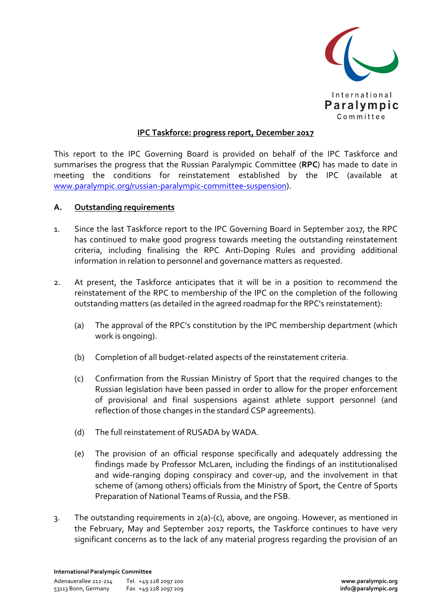

## **IPC Taskforce: progress report, December 2017**

This report to the IPC Governing Board is provided on behalf of the IPC Taskforce and summarises the progress that the Russian Paralympic Committee (**RPC**) has made to date in meeting the conditions for reinstatement established by the IPC (available at www.paralympic.org/russian-paralympic-committee-suspension).

## **A. Outstanding requirements**

- 1. Since the last Taskforce report to the IPC Governing Board in September 2017, the RPC has continued to make good progress towards meeting the outstanding reinstatement criteria, including finalising the RPC Anti-Doping Rules and providing additional information in relation to personnel and governance matters as requested.
- 2. At present, the Taskforce anticipates that it will be in a position to recommend the reinstatement of the RPC to membership of the IPC on the completion of the following outstanding matters (as detailed in the agreed roadmap for the RPC's reinstatement):
	- (a) The approval of the RPC's constitution by the IPC membership department (which work is ongoing).
	- (b) Completion of all budget-related aspects of the reinstatement criteria.
	- (c) Confirmation from the Russian Ministry of Sport that the required changes to the Russian legislation have been passed in order to allow for the proper enforcement of provisional and final suspensions against athlete support personnel (and reflection of those changes in the standard CSP agreements).
	- (d) The full reinstatement of RUSADA by WADA.
	- (e) The provision of an official response specifically and adequately addressing the findings made by Professor McLaren, including the findings of an institutionalised and wide-ranging doping conspiracy and cover-up, and the involvement in that scheme of (among others) officials from the Ministry of Sport, the Centre of Sports Preparation of National Teams of Russia, and the FSB.
- 3. The outstanding requirements in 2(a)-(c), above, are ongoing. However, as mentioned in the February, May and September 2017 reports, the Taskforce continues to have very significant concerns as to the lack of any material progress regarding the provision of an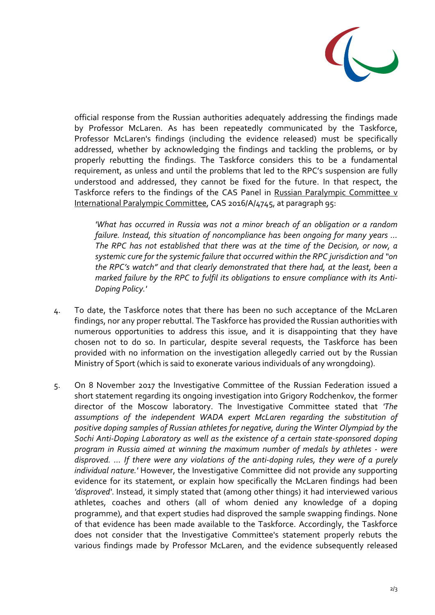

official response from the Russian authorities adequately addressing the findings made by Professor McLaren. As has been repeatedly communicated by the Taskforce, Professor McLaren's findings (including the evidence released) must be specifically addressed, whether by acknowledging the findings and tackling the problems, or by properly rebutting the findings. The Taskforce considers this to be a fundamental requirement, as unless and until the problems that led to the RPC's suspension are fully understood and addressed, they cannot be fixed for the future. In that respect, the Taskforce refers to the findings of the CAS Panel in Russian Paralympic Committee v International Paralympic Committee, CAS 2016/A/4745, at paragraph 95:

*'What has occurred in Russia was not a minor breach of an obligation or a random failure. Instead, this situation of noncompliance has been ongoing for many years … The RPC has not established that there was at the time of the Decision, or now, a systemic cure for the systemic failure that occurred within the RPC jurisdiction and "on the RPC's watch" and that clearly demonstrated that there had, at the least, been a marked failure by the RPC to fulfil its obligations to ensure compliance with its Anti-Doping Policy.'*

- 4. To date, the Taskforce notes that there has been no such acceptance of the McLaren findings, nor any proper rebuttal. The Taskforce has provided the Russian authorities with numerous opportunities to address this issue, and it is disappointing that they have chosen not to do so. In particular, despite several requests, the Taskforce has been provided with no information on the investigation allegedly carried out by the Russian Ministry of Sport (which is said to exonerate various individuals of any wrongdoing).
- 5. On 8 November 2017 the Investigative Committee of the Russian Federation issued a short statement regarding its ongoing investigation into Grigory Rodchenkov, the former director of the Moscow laboratory. The Investigative Committee stated that *'The assumptions of the independent WADA expert McLaren regarding the substitution of positive doping samples of Russian athletes for negative, during the Winter Olympiad by the Sochi Anti-Doping Laboratory as well as the existence of a certain state-sponsored doping program in Russia aimed at winning the maximum number of medals by athletes - were disproved. … If there were any violations of the anti-doping rules, they were of a purely individual nature.'* However, the Investigative Committee did not provide any supporting evidence for its statement, or explain how specifically the McLaren findings had been *'disproved'*. Instead, it simply stated that (among other things) it had interviewed various athletes, coaches and others (all of whom denied any knowledge of a doping programme), and that expert studies had disproved the sample swapping findings. None of that evidence has been made available to the Taskforce. Accordingly, the Taskforce does not consider that the Investigative Committee's statement properly rebuts the various findings made by Professor McLaren, and the evidence subsequently released